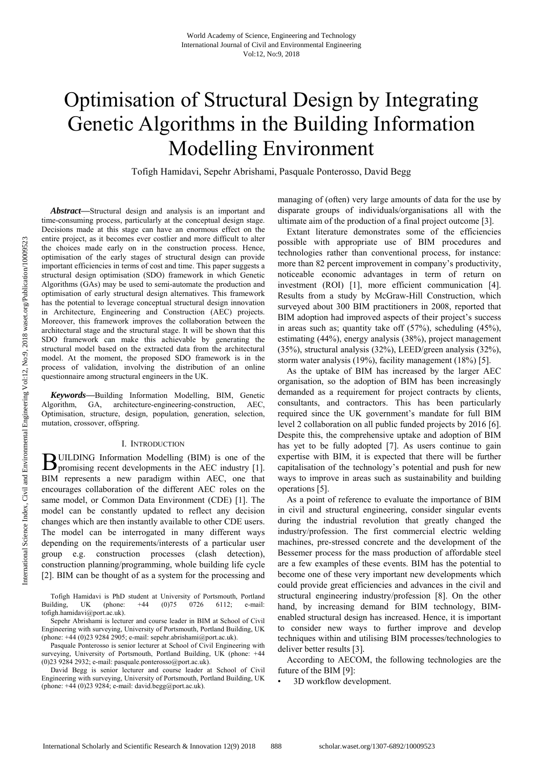# Optimisation of Structural Design by Integrating Genetic Algorithms in the Building Information Modelling Environment

Tofigh Hamidavi, Sepehr Abrishami, Pasquale Ponterosso, David Begg

*Abstract***—**Structural design and analysis is an important and time-consuming process, particularly at the conceptual design stage. Decisions made at this stage can have an enormous effect on the entire project, as it becomes ever costlier and more difficult to alter the choices made early on in the construction process. Hence, optimisation of the early stages of structural design can provide important efficiencies in terms of cost and time. This paper suggests a structural design optimisation (SDO) framework in which Genetic Algorithms (GAs) may be used to semi-automate the production and optimisation of early structural design alternatives. This framework has the potential to leverage conceptual structural design innovation in Architecture, Engineering and Construction (AEC) projects. Moreover, this framework improves the collaboration between the architectural stage and the structural stage. It will be shown that this SDO framework can make this achievable by generating the structural model based on the extracted data from the architectural model. At the moment, the proposed SDO framework is in the process of validation, involving the distribution of an online questionnaire among structural engineers in the UK.

*Keywords***—**Building Information Modelling, BIM, Genetic Algorithm, GA, architecture-engineering-construction, AEC, Optimisation, structure, design, population, generation, selection, mutation, crossover, offspring.

# I. INTRODUCTION

UILDING Information Modelling (BIM) is one of the **BUILDING** Information Modelling (BIM) is one of the promising recent developments in the AEC industry [1]. BIM represents a new paradigm within AEC, one that encourages collaboration of the different AEC roles on the same model, or Common Data Environment (CDE) [1]. The model can be constantly updated to reflect any decision changes which are then instantly available to other CDE users. The model can be interrogated in many different ways depending on the requirements/interests of a particular user group e.g. construction processes (clash detection), construction planning/programming, whole building life cycle [2]. BIM can be thought of as a system for the processing and

Tofigh Hamidavi is PhD student at University of Portsmouth, Portland Building, UK (phone: +44 (0)75 0726 6112; e-mail: tofigh.hamidavi@port.ac.uk).

Sepehr Abrishami is lecturer and course leader in BIM at School of Civil Engineering with surveying, University of Portsmouth, Portland Building, UK (phone: +44 (0)23 9284 2905; e-mail: sepehr.abrishami@port.ac.uk).

Pasquale Ponterosso is senior lecturer at School of Civil Engineering with surveying, University of Portsmouth, Portland Building, UK (phone: +44 (0)23 9284 2932; e-mail: pasquale.ponterosso@port.ac.uk).

David Begg is senior lecturer and course leader at School of Civil Engineering with surveying, University of Portsmouth, Portland Building, UK (phone: +44 (0)23 9284; e-mail: david.begg@port.ac.uk).

managing of (often) very large amounts of data for the use by disparate groups of individuals/organisations all with the ultimate aim of the production of a final project outcome [3].

Extant literature demonstrates some of the efficiencies possible with appropriate use of BIM procedures and technologies rather than conventional process, for instance: more than 82 percent improvement in company's productivity, noticeable economic advantages in term of return on investment (ROI) [1], more efficient communication [4]. Results from a study by McGraw-Hill Construction, which surveyed about 300 BIM practitioners in 2008, reported that BIM adoption had improved aspects of their project's success in areas such as; quantity take off (57%), scheduling (45%), estimating (44%), energy analysis (38%), project management (35%), structural analysis (32%), LEED/green analysis (32%), storm water analysis (19%), facility management (18%) [5].

As the uptake of BIM has increased by the larger AEC organisation, so the adoption of BIM has been increasingly demanded as a requirement for project contracts by clients, consultants, and contractors. This has been particularly required since the UK government's mandate for full BIM level 2 collaboration on all public funded projects by 2016 [6]. Despite this, the comprehensive uptake and adoption of BIM has yet to be fully adopted [7]. As users continue to gain expertise with BIM, it is expected that there will be further capitalisation of the technology's potential and push for new ways to improve in areas such as sustainability and building operations [5].

As a point of reference to evaluate the importance of BIM in civil and structural engineering, consider singular events during the industrial revolution that greatly changed the industry/profession. The first commercial electric welding machines, pre-stressed concrete and the development of the Bessemer process for the mass production of affordable steel are a few examples of these events. BIM has the potential to become one of these very important new developments which could provide great efficiencies and advances in the civil and structural engineering industry/profession [8]. On the other hand, by increasing demand for BIM technology, BIMenabled structural design has increased. Hence, it is important to consider new ways to further improve and develop techniques within and utilising BIM processes/technologies to deliver better results [3]*.*

According to AECOM, the following technologies are the future of the BIM [9]:

3D workflow development.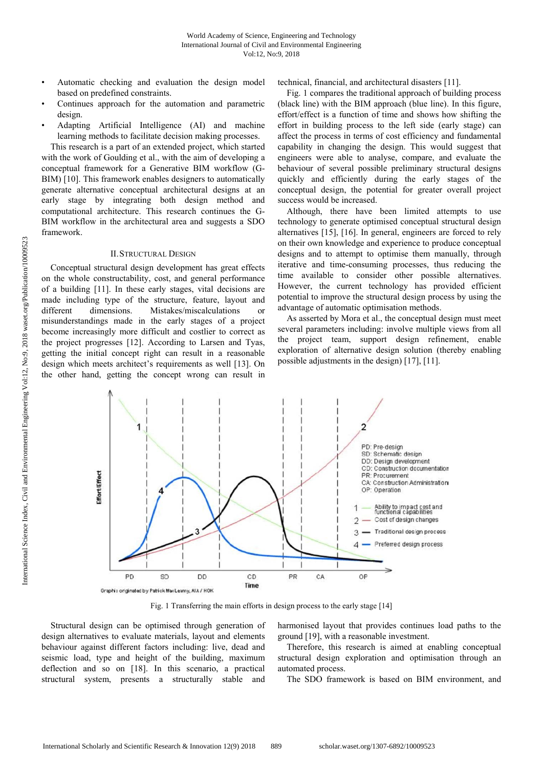Automatic checking and evaluation the design model based on predefined constraints.

technical, financial, and architectural disasters [11].

- Continues approach for the automation and parametric design.
- Adapting Artificial Intelligence (AI) and machine learning methods to facilitate decision making processes.

This research is a part of an extended project, which started with the work of Goulding et al., with the aim of developing a conceptual framework for a Generative BIM workflow (G-BIM) [10]. This framework enables designers to automatically generate alternative conceptual architectural designs at an early stage by integrating both design method and computational architecture. This research continues the G-BIM workflow in the architectural area and suggests a SDO framework.

# II.STRUCTURAL DESIGN

Conceptual structural design development has great effects on the whole constructability, cost, and general performance of a building [11]. In these early stages, vital decisions are made including type of the structure, feature, layout and different dimensions. Mistakes/miscalculations or misunderstandings made in the early stages of a project become increasingly more difficult and costlier to correct as the project progresses [12]. According to Larsen and Tyas, getting the initial concept right can result in a reasonable design which meets architect's requirements as well [13]. On the other hand, getting the concept wrong can result in

Fig. 1 compares the traditional approach of building process (black line) with the BIM approach (blue line). In this figure, effort/effect is a function of time and shows how shifting the effort in building process to the left side (early stage) can affect the process in terms of cost efficiency and fundamental capability in changing the design. This would suggest that engineers were able to analyse, compare, and evaluate the behaviour of several possible preliminary structural designs quickly and efficiently during the early stages of the conceptual design, the potential for greater overall project success would be increased.

Although, there have been limited attempts to use technology to generate optimised conceptual structural design alternatives [15], [16]. In general, engineers are forced to rely on their own knowledge and experience to produce conceptual designs and to attempt to optimise them manually, through iterative and time-consuming processes, thus reducing the time available to consider other possible alternatives. However, the current technology has provided efficient potential to improve the structural design process by using the advantage of automatic optimisation methods.

As asserted by Mora et al., the conceptual design must meet several parameters including: involve multiple views from all the project team, support design refinement, enable exploration of alternative design solution (thereby enabling possible adjustments in the design) [17], [11].



Fig. 1 Transferring the main efforts in design process to the early stage [14]

Structural design can be optimised through generation of design alternatives to evaluate materials, layout and elements behaviour against different factors including: live, dead and seismic load, type and height of the building, maximum deflection and so on [18]. In this scenario, a practical structural system, presents a structurally stable and

harmonised layout that provides continues load paths to the ground [19], with a reasonable investment.

Therefore, this research is aimed at enabling conceptual structural design exploration and optimisation through an automated process.

The SDO framework is based on BIM environment, and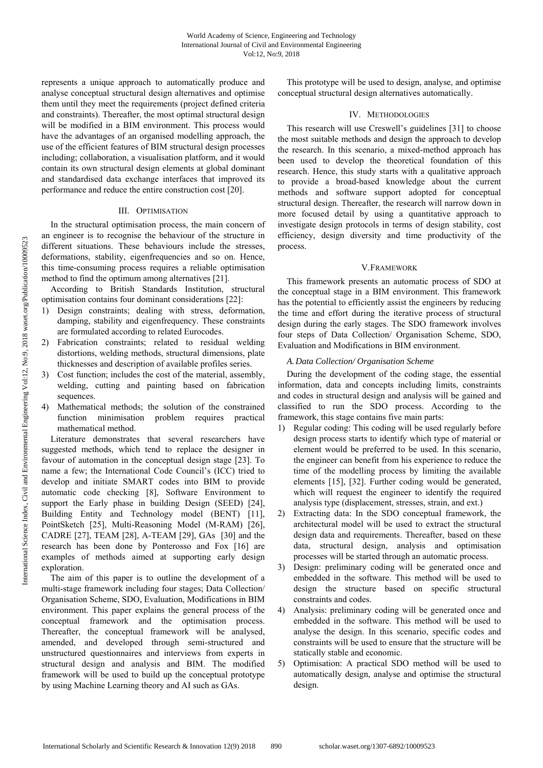represents a unique approach to automatically produce and analyse conceptual structural design alternatives and optimise them until they meet the requirements (project defined criteria and constraints). Thereafter, the most optimal structural design will be modified in a BIM environment. This process would have the advantages of an organised modelling approach, the use of the efficient features of BIM structural design processes including; collaboration, a visualisation platform, and it would contain its own structural design elements at global dominant and standardised data exchange interfaces that improved its performance and reduce the entire construction cost [20].

### III. OPTIMISATION

In the structural optimisation process, the main concern of an engineer is to recognise the behaviour of the structure in different situations. These behaviours include the stresses, deformations, stability, eigenfrequencies and so on. Hence, this time-consuming process requires a reliable optimisation method to find the optimum among alternatives [21].

According to British Standards Institution, structural optimisation contains four dominant considerations [22]:

- 1) Design constraints; dealing with stress, deformation, damping, stability and eigenfrequency. These constraints are formulated according to related Eurocodes.
- Fabrication constraints; related to residual welding distortions, welding methods, structural dimensions, plate thicknesses and description of available profiles series.
- 3) Cost function; includes the cost of the material, assembly, welding, cutting and painting based on fabrication sequences.
- Mathematical methods; the solution of the constrained function minimisation problem requires practical mathematical method.

Literature demonstrates that several researchers have suggested methods, which tend to replace the designer in favour of automation in the conceptual design stage [23]. To name a few; the International Code Council's (ICC) tried to develop and initiate SMART codes into BIM to provide automatic code checking [8], Software Environment to support the Early phase in building Design (SEED) [24], Building Entity and Technology model (BENT) [11], PointSketch [25], Multi-Reasoning Model (M-RAM) [26], CADRE [27], TEAM [28], A-TEAM [29], GAs [30] and the research has been done by Ponterosso and Fox [16] are examples of methods aimed at supporting early design exploration.

The aim of this paper is to outline the development of a multi-stage framework including four stages; Data Collection/ Organisation Scheme, SDO, Evaluation, Modifications in BIM environment. This paper explains the general process of the conceptual framework and the optimisation process. Thereafter, the conceptual framework will be analysed, amended, and developed through semi-structured and unstructured questionnaires and interviews from experts in structural design and analysis and BIM. The modified framework will be used to build up the conceptual prototype by using Machine Learning theory and AI such as GAs.

This prototype will be used to design, analyse, and optimise conceptual structural design alternatives automatically.

# IV. METHODOLOGIES

This research will use Creswell's guidelines [31] to choose the most suitable methods and design the approach to develop the research. In this scenario, a mixed-method approach has been used to develop the theoretical foundation of this research. Hence, this study starts with a qualitative approach to provide a broad-based knowledge about the current methods and software support adopted for conceptual structural design. Thereafter, the research will narrow down in more focused detail by using a quantitative approach to investigate design protocols in terms of design stability, cost efficiency, design diversity and time productivity of the process.

# V.FRAMEWORK

This framework presents an automatic process of SDO at the conceptual stage in a BIM environment. This framework has the potential to efficiently assist the engineers by reducing the time and effort during the iterative process of structural design during the early stages. The SDO framework involves four steps of Data Collection/ Organisation Scheme, SDO, Evaluation and Modifications in BIM environment.

#### *A.Data Collection/ Organisation Scheme*

During the development of the coding stage, the essential information, data and concepts including limits, constraints and codes in structural design and analysis will be gained and classified to run the SDO process. According to the framework, this stage contains five main parts:

- 1) Regular coding: This coding will be used regularly before design process starts to identify which type of material or element would be preferred to be used. In this scenario, the engineer can benefit from his experience to reduce the time of the modelling process by limiting the available elements [15], [32]. Further coding would be generated, which will request the engineer to identify the required analysis type (displacement, stresses, strain, and ext.)
- 2) Extracting data: In the SDO conceptual framework, the architectural model will be used to extract the structural design data and requirements. Thereafter, based on these data, structural design, analysis and optimisation processes will be started through an automatic process.
- 3) Design: preliminary coding will be generated once and embedded in the software. This method will be used to design the structure based on specific structural constraints and codes.
- 4) Analysis: preliminary coding will be generated once and embedded in the software. This method will be used to analyse the design. In this scenario, specific codes and constraints will be used to ensure that the structure will be statically stable and economic.
- 5) Optimisation: A practical SDO method will be used to automatically design, analyse and optimise the structural design.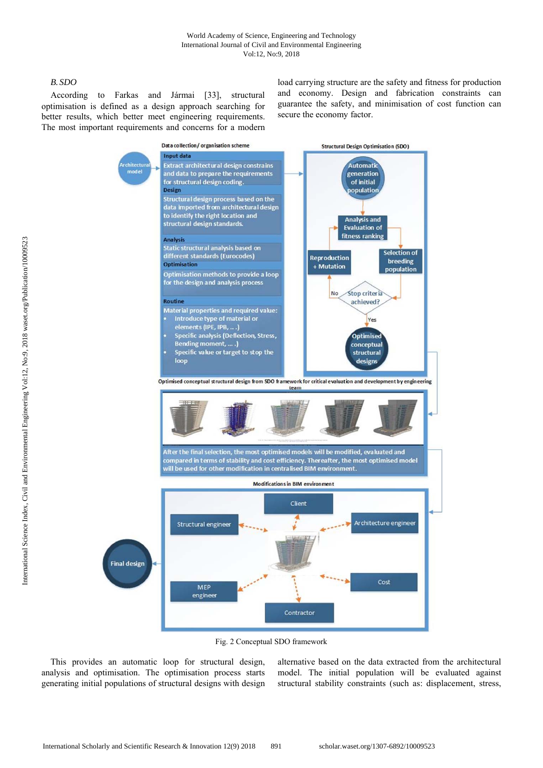# *B. SDO*

According to Farkas and Jármai [33], structural optimisation is defined as a design approach searching for better results, which better meet engineering requirements. The most important requirements and concerns for a modern load carrying structure are the safety and fitness for production and economy. Design and fabrication constraints can guarantee the safety, and minimisation of cost function can secure the economy factor.



Fig. 2 Conceptual SDO framework

This provides an automatic loop for structural design, analysis and optimisation. The optimisation process starts generating initial populations of structural designs with design alternative based on the data extracted from the architectural model. The initial population will be evaluated against structural stability constraints (such as: displacement, stress,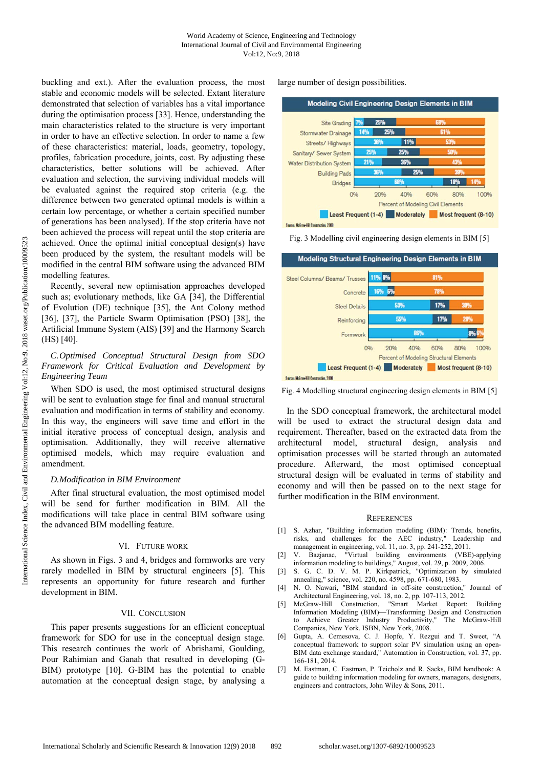buckling and ext.). After the evaluation process, the most stable and economic models will be selected. Extant literature demonstrated that selection of variables has a vital importance during the optimisation process [33]. Hence, understanding the main characteristics related to the structure is very important in order to have an effective selection. In order to name a few of these characteristics: material, loads, geometry, topology, profiles, fabrication procedure, joints, cost. By adjusting these characteristics, better solutions will be achieved. After evaluation and selection, the surviving individual models will be evaluated against the required stop criteria (e.g. the difference between two generated optimal models is within a certain low percentage, or whether a certain specified number of generations has been analysed). If the stop criteria have not been achieved the process will repeat until the stop criteria are achieved. Once the optimal initial conceptual design(s) have been produced by the system, the resultant models will be modified in the central BIM software using the advanced BIM modelling features.

Recently, several new optimisation approaches developed such as; evolutionary methods, like GA [34], the Differential of Evolution (DE) technique [35], the Ant Colony method [36], [37], the Particle Swarm Optimisation (PSO) [38], the Artificial Immune System (AIS) [39] and the Harmony Search (HS) [40].

# *C.Optimised Conceptual Structural Design from SDO Framework for Critical Evaluation and Development by Engineering Team*

When SDO is used, the most optimised structural designs will be sent to evaluation stage for final and manual structural evaluation and modification in terms of stability and economy. In this way, the engineers will save time and effort in the initial iterative process of conceptual design, analysis and optimisation. Additionally, they will receive alternative optimised models, which may require evaluation and amendment.

# *D.Modification in BIM Environment*

After final structural evaluation, the most optimised model will be send for further modification in BIM. All the modifications will take place in central BIM software using the advanced BIM modelling feature.

### VI. FUTURE WORK

As shown in Figs. 3 and 4, bridges and formworks are very rarely modelled in BIM by structural engineers [5]. This represents an opportunity for future research and further development in BIM.

#### VII. CONCLUSION

This paper presents suggestions for an efficient conceptual framework for SDO for use in the conceptual design stage. This research continues the work of Abrishami, Goulding, Pour Rahimian and Ganah that resulted in developing (G-BIM) prototype [10]. G-BIM has the potential to enable automation at the conceptual design stage, by analysing a large number of design possibilities.



Same: McGrow-Hill Construction, 2008

Fig. 3 Modelling civil engineering design elements in BIM [5]



Fig. 4 Modelling structural engineering design elements in BIM [5]

In the SDO conceptual framework, the architectural model will be used to extract the structural design data and requirement. Thereafter, based on the extracted data from the architectural model, structural design, analysis and optimisation processes will be started through an automated procedure. Afterward, the most optimised conceptual structural design will be evaluated in terms of stability and economy and will then be passed on to the next stage for further modification in the BIM environment.

#### **REFERENCES**

- [1] S. Azhar, "Building information modeling (BIM): Trends, benefits, risks, and challenges for the AEC industry," Leadership and management in engineering, vol. 11, no. 3, pp. 241-252, 2011.
- [2] V. Bazjanac, "Virtual building environments (VBE)-applying information modeling to buildings," August, vol. 29, p. 2009, 2006.
- [3] S. G. C. D. V. M. P. Kirkpatrick, "Optimization by simulated annealing," science, vol. 220, no. 4598, pp. 671-680, 1983.
- [4] N. O. Nawari, "BIM standard in off-site construction," Journal of Architectural Engineering, vol. 18, no. 2, pp. 107-113, 2012.
- [5] McGraw-Hill Construction, "Smart Market Report: Building Information Modeling (BIM)—Transforming Design and Construction to Achieve Greater Industry Productivity," The McGraw-Hill Companies, New York. ISBN, New York, 2008.
- [6] Gupta, A. Cemesova, C. J. Hopfe, Y. Rezgui and T. Sweet, "A conceptual framework to support solar PV simulation using an open-BIM data exchange standard," Automation in Construction, vol. 37, pp. 166-181, 2014.
- [7] M. Eastman, C. Eastman, P. Teicholz and R. Sacks, BIM handbook: A guide to building information modeling for owners, managers, designers, engineers and contractors, John Wiley & Sons, 2011.